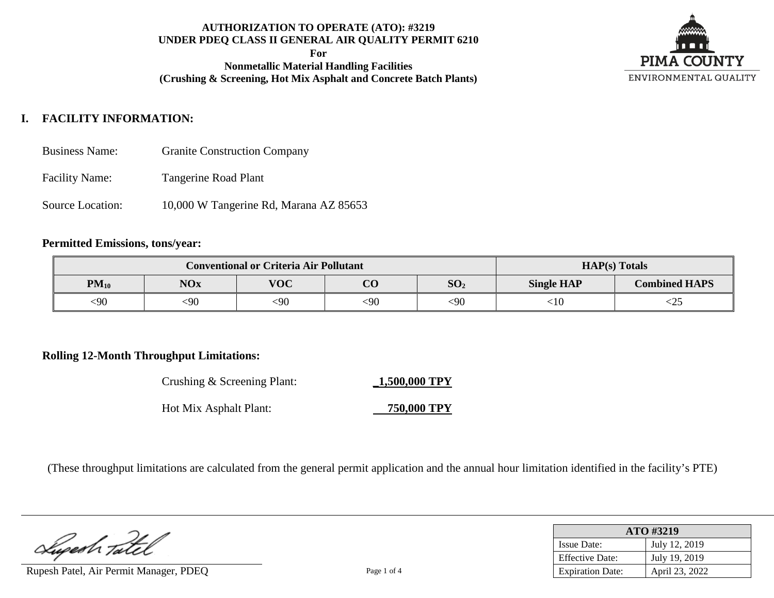**For**

**Nonmetallic Material Handling Facilities (Crushing & Screening, Hot Mix Asphalt and Concrete Batch Plants)**



# **I. FACILITY INFORMATION:**

- Business Name: Granite Construction Company
- Facility Name: Tangerine Road Plant
- Source Location: 10,000 W Tangerine Rd, Marana AZ 85653

#### **Permitted Emissions, tons/year:**

| <b>Conventional or Criteria Air Pollutant</b> |            |                                           |     |                                           | $HAP(s)$ Totals |     |  |
|-----------------------------------------------|------------|-------------------------------------------|-----|-------------------------------------------|-----------------|-----|--|
| $PM_{10}$                                     | <b>NOx</b> | <b>VOC</b><br>$\Omega$<br>SO <sub>2</sub> |     | <b>Combined HAPS</b><br><b>Single HAP</b> |                 |     |  |
| <90                                           | <90        | $90$                                      | <90 | $90$                                      | ${<}10$         | ∼∠J |  |

#### **Rolling 12-Month Throughput Limitations:**

| Crushing & Screening Plant: | 1,500,000 TPY |
|-----------------------------|---------------|
| Hot Mix Asphalt Plant:      | 750,000 TPY   |

(These throughput limitations are calculated from the general permit application and the annual hour limitation identified in the facility's PTE)

Superh Tate

Rupesh Patel, Air Permit Manager, PDEQ Page 1 of 4

| ATO #3219               |                |  |  |  |
|-------------------------|----------------|--|--|--|
| <b>Issue Date:</b>      | July 12, 2019  |  |  |  |
| <b>Effective Date:</b>  | July 19, 2019  |  |  |  |
| <b>Expiration Date:</b> | April 23, 2022 |  |  |  |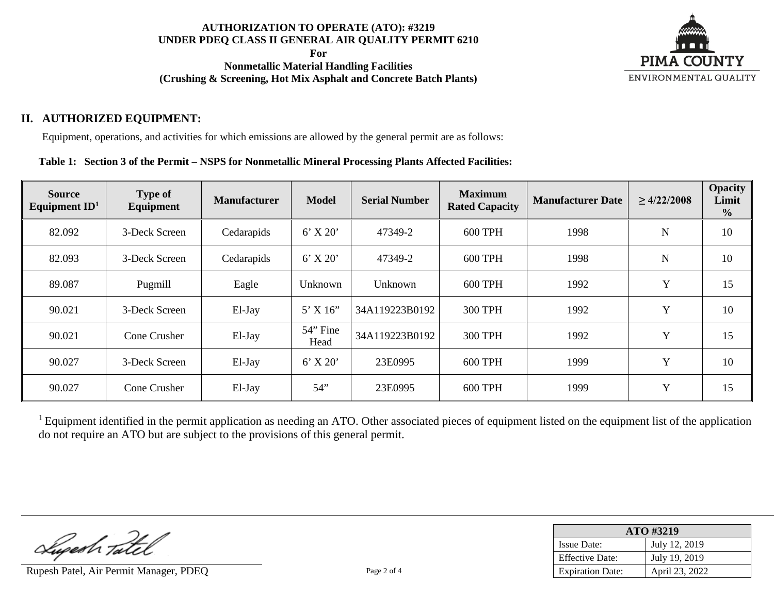**For**

**Nonmetallic Material Handling Facilities (Crushing & Screening, Hot Mix Asphalt and Concrete Batch Plants)**



# **II. AUTHORIZED EQUIPMENT:**

Equipment, operations, and activities for which emissions are allowed by the general permit are as follows:

**Table 1: Section 3 of the Permit – NSPS for Nonmetallic Mineral Processing Plants Affected Facilities:**

| <b>Source</b><br>Equipment $ID1$ | <b>Type of</b><br>Equipment | <b>Manufacturer</b> | <b>Model</b>     | <b>Serial Number</b> | <b>Maximum</b><br><b>Rated Capacity</b> | <b>Manufacturer Date</b> | $\geq 4/22/2008$ | <b>Opacity</b><br>Limit<br>$\frac{0}{0}$ |
|----------------------------------|-----------------------------|---------------------|------------------|----------------------|-----------------------------------------|--------------------------|------------------|------------------------------------------|
| 82.092                           | 3-Deck Screen               | Cedarapids          | $6'$ X 20'       | 47349-2              | <b>600 TPH</b>                          | 1998                     | N                | 10                                       |
| 82.093                           | 3-Deck Screen               | Cedarapids          | $6'$ X 20'       | 47349-2              | <b>600 TPH</b>                          | 1998                     | $\mathbf N$      | 10                                       |
| 89.087                           | Pugmill                     | Eagle               | Unknown          | Unknown              | <b>600 TPH</b>                          | 1992                     | Y                | 15                                       |
| 90.021                           | 3-Deck Screen               | El-Jay              | 5' X 16''        | 34A119223B0192       | <b>300 TPH</b>                          | 1992                     | Y                | 10                                       |
| 90.021                           | Cone Crusher                | El-Jay              | 54" Fine<br>Head | 34A119223B0192       | <b>300 TPH</b>                          | 1992                     | Y                | 15                                       |
| 90.027                           | 3-Deck Screen               | El-Jay              | $6'$ X 20'       | 23E0995              | <b>600 TPH</b>                          | 1999                     | Y                | 10                                       |
| 90.027                           | Cone Crusher                | El-Jay              | 54               | 23E0995              | <b>600 TPH</b>                          | 1999                     | Y                | 15                                       |

<sup>1</sup> Equipment identified in the permit application as needing an ATO. Other associated pieces of equipment listed on the equipment list of the application do not require an ATO but are subject to the provisions of this general permit.

Superh Tatel

Rupesh Patel, Air Permit Manager, PDEQ Page 2 of 4

| ATO #3219               |                |  |  |
|-------------------------|----------------|--|--|
| <b>Issue Date:</b>      | July 12, 2019  |  |  |
| <b>Effective Date:</b>  | July 19, 2019  |  |  |
| <b>Expiration Date:</b> | April 23, 2022 |  |  |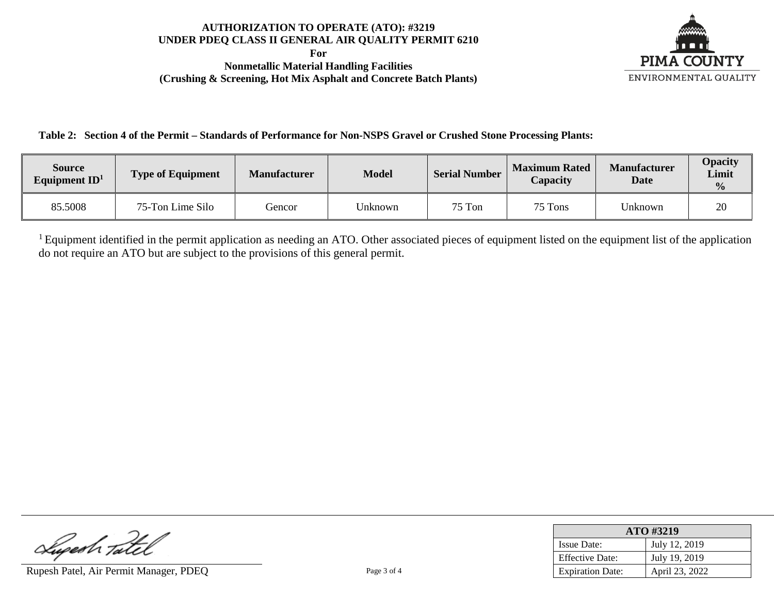**For Nonmetallic Material Handling Facilities (Crushing & Screening, Hot Mix Asphalt and Concrete Batch Plants)**



**Table 2: Section 4 of the Permit – Standards of Performance for Non-NSPS Gravel or Crushed Stone Processing Plants:**

| <b>Source</b><br>Equipment $ID1$ | <b>Type of Equipment</b> | <b>Manufacturer</b> | <b>Model</b> | <b>Serial Number</b> | <b>Maximum Rated</b><br>Capacity | <b>Manufacturer</b><br><b>Date</b> | Opacity<br>Limit<br>$\frac{0}{2}$ |
|----------------------------------|--------------------------|---------------------|--------------|----------------------|----------------------------------|------------------------------------|-----------------------------------|
| 85.5008                          | 75-Ton Lime Silo         | Gencor              | Unknown      | 75 Ton               | 75 Tons                          | Unknown                            | 20                                |

<sup>1</sup> Equipment identified in the permit application as needing an ATO. Other associated pieces of equipment listed on the equipment list of the application do not require an ATO but are subject to the provisions of this general permit.

Luperh Tatel

Rupesh Patel, Air Permit Manager, PDEQ Page 3 of 4

| ATO #3219               |                |  |  |
|-------------------------|----------------|--|--|
| <b>Issue Date:</b>      | July 12, 2019  |  |  |
| <b>Effective Date:</b>  | July 19, 2019  |  |  |
| <b>Expiration Date:</b> | April 23, 2022 |  |  |